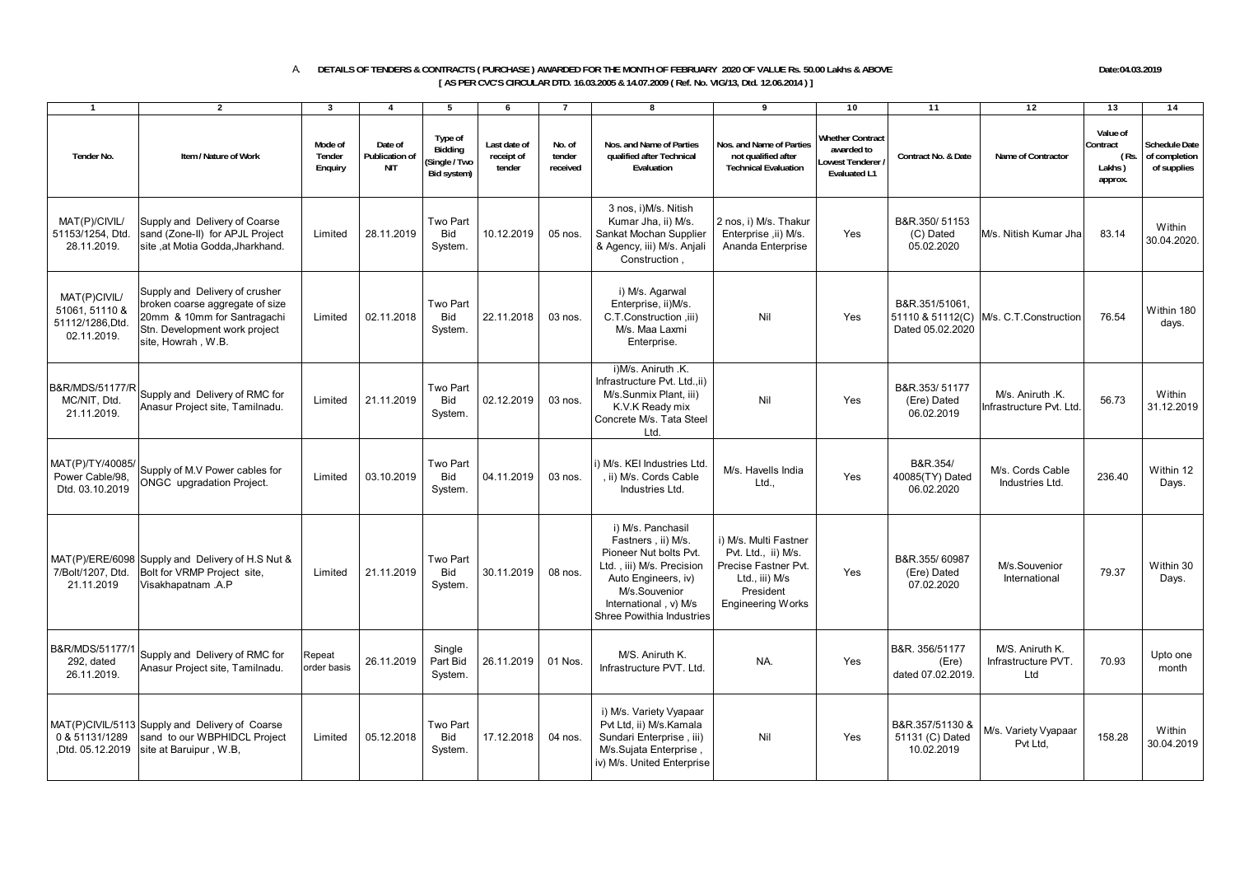## A. **DETAILS OF TENDERS & CONTRACTS ( PURCHASE ) AWARDED FOR THE MONTH OF FEBRUARY 2020 OF VALUE Rs. 50.00 Lakhs & ABOVE Date:04.03.2019 [ AS PER CVC'S CIRCULAR DTD. 16.03.2005 & 14.07.2009 ( Ref. No. VIG/13, Dtd. 12.06.2014 ) ]**

1 1 2 1 3 4 5 6 7 1 8 1 9 1 10 1 11 1 12 1 13 1 14 **Tender No. Item / Nature of WorkMode of Tender Enquiry Date of Publication of NITType of Bidding (Single / Two Bid system) Last date of receipt of tender No. of tender receivedNos. and Name of Parties qualified after Technical EvaluationNos. and Name of Parties not qualified after Technical EvaluationWhether Contract awarded to Lowest Tenderer / Evaluated L1Contract No. & Date Name of ContractorValue of Contract ( Rs. Lakhs ) approx. Schedule Date of completion of supplies** MAT(P)/CIVIL/ 51153/1254, Dtd. 28.11.2019. Supply and Delivery of Coarse sand (Zone-II) for APJL Project site ,at Motia Godda,Jharkhand. Limited 28.11.2019 Two Part Bid System. 10.12.2019 05 nos. 3 nos, i)M/s. Nitish Kumar Jha, ii) M/s. Sankat Mochan Supplier & Agency, iii) M/s. Anjali Construction , 2 nos, i) M/s. Thakur Enterprise ,ii) M/s. Ananda Enterprise YesB&R.350/ 51153 (C) Dated 05.02.2020 M/s. Nitish Kumar Jha  $\begin{array}{|c|c|c|c|c|}\n\hline\n83.14 & 30.04.2020\n\end{array}$ MAT(P)CIVIL/ 51061, 51110 & 51112/1286,Dtd. 02.11.2019.Supply and Delivery of crusher broken coarse aggregate of size 20mm & 10mm for Santragachi Stn. Development work project site, Howrah, W.B. Limited 02.11.2018 Two Part **Bid** System. 22.11.2018 03 nos. i) M/s. Agarwal Enterprise, ii)M/s. C.T.Construction (iii) M/s. Maa Laxmi **Enterprise** Nil Yes B&R.351/51061, 51110 & 51112(C) Dated 05.02.2020 $M/s. C.T. Construction$  76.54 Within 180 days. B&R/MDS/51177/RMC/NIT, Dtd. 21.11.2019.Supply and Delivery of RMC for Supply and Delivery of RMC for Limited 21.11.2019<br>Anasur Project site, Tamilnadu. Two Part Bid **System** 02.12.2019 03 nos. i)M/s. Aniruth .K. Infrastructure Pvt. Ltd.,ii) M/s.Sunmix Plant, iii) K.V.K Ready mix Concrete M/s. Tata Steel Ltd.Nil Yes B&R.353/ 51177 (Ere) Dated 06.02.2019M/s Aniruth K Infrastructure Pvt. Ltd. 56.73 Within 31.12.2019MAT(P)/TY/40085/ Power Cable/98, Dtd. 03.10.2019 Supply of M.V Power cables for Supply of M.V Power cables for<br>ONGC upgradation Project. Limited 03.10.2019 Two Part Bid **System** 04.11.2019 03 nos. i) M/s. KEI Industries Ltd. , ii) M/s. Cords Cable Industries Ltd.M/s. Havells India Ltd., Yes B&R.354/ 40085(TY) Dated 06.02.2020M/s. Cords Cable Industries Ltd.236.40 Within 12 MAT(P)/ERE/6098 Supply and Delivery of H.S Nut & 7/Bolt/1207, Dtd. 21.11.2019Bolt for VRMP Project site, Visakhapatnam .A.P Limited 21.11.2019 Two Part Bid **System** 30.11.2019 08 nos. i) M/s. Panchasil Fastners , ii) M/s. Pioneer Nut bolts Pvt. Ltd. , iii) M/s. Precision Auto Engineers, iv) M/s.Souvenior  $Interrational$   $v)$  M/s Shree Powithia Industries i) M/s. Multi Fastner Pvt. Ltd., ii) M/s. Precise Fastner Pvt. Ltd., iii) M/s President Engineering Works YesB&R.355/ 60987 (Ere) Dated 07.02.2020 M/s.Souvenior M/s.Souvenior 79.37 Within 30 B&R/MDS/51177/ 292, dated 26.11.2019.Supply and Delivery of RMC for Anasur Project site, Tamilnadu. Repeat Repeat<br>order basis 26.11.2019 **Single** Part Bid System. 26.11.2019 01 Nos. M/S. Aniruth K.  $N$ A.  $N$   $Y$ es  $\begin{bmatrix} \text{B&R. 356/51177} \\ \text{dated 07.02.2019} \end{bmatrix}$  $\begin{array}{c|c}\n\text{B&R. 356/51177} & \text{MS. Aniruth K.} \\
\text{(Ere)} & \text{Infrastructure PVT.} \\
\text{data} & \text{O7.02.2019} & \text{Itd}\n\end{array}$ The PVT. 70.93 Upto one<br>d MAT(P)CIVIL/5113 Supply and Delivery of Coarse 0 & 51131/1289 ,Dtd. 05.12.2019 sand to our WBPHIDCL Project site at Baruipur , W.B, Limited 05.12.2018 Two Part Bid System. 17.12.2018 04 nos. i) M/s. Variety Vyapaar Pvt Ltd, ii) M/s.Kamala Sundari Enterprise , iii) M/s.Sujata Enterprise , iv) M/s. United Enterprise Nil Yes B&R.357/51130 & 51131 (C) Dated 10.02.2019M/s. Variety Vyapaar Pvt Ltd, 158.28 Within 30.04.2019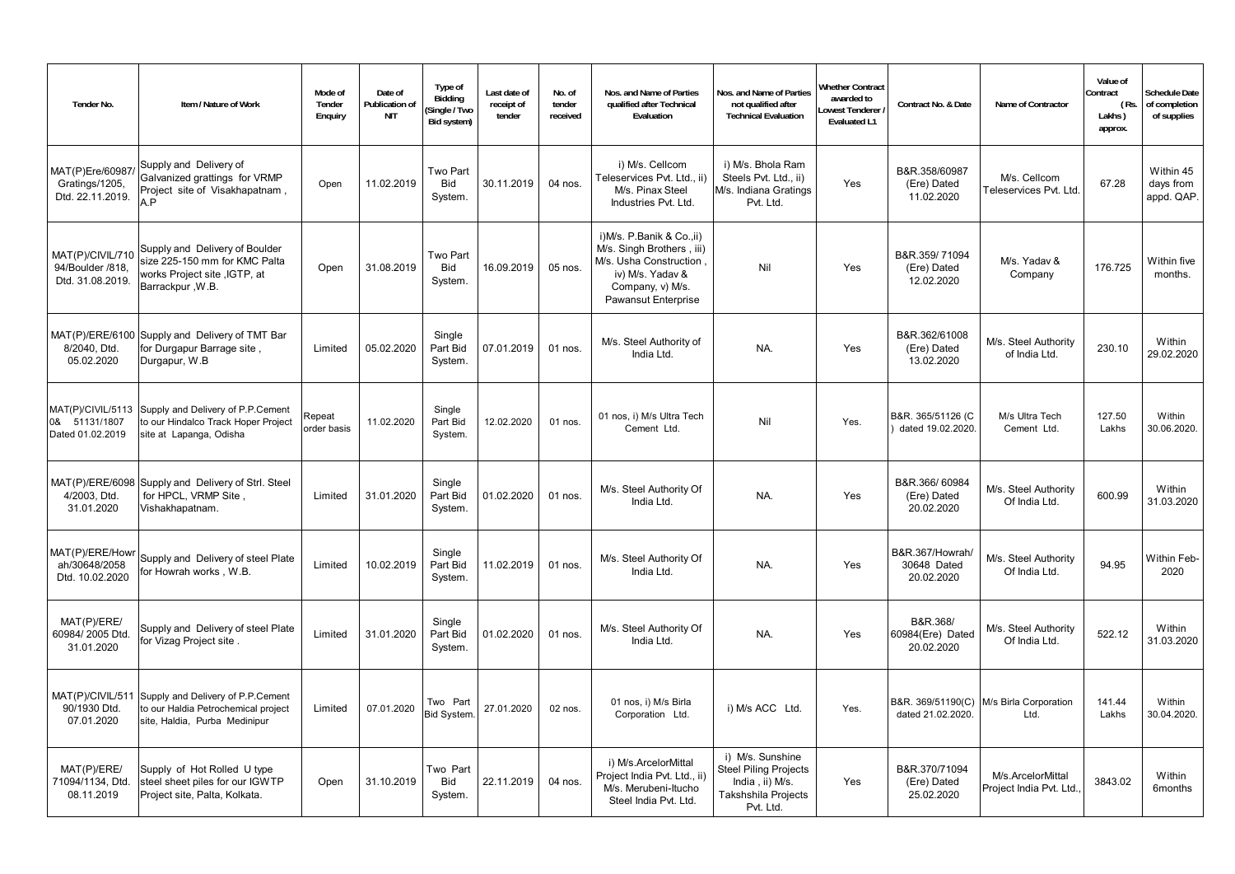| Tender No.                                               | Item / Nature of Work                                                                                                      | Mode of<br>Tender<br>Enquiry | Date of<br><b>Publication of</b><br><b>NIT</b> | Type of<br>Bidding<br>Single / Two<br>Bid system) | Last date of<br>receipt of<br>tender | No. of<br>tender<br>received | Nos. and Name of Parties<br>qualified after Technical<br>Evaluation                                                                             | Nos. and Name of Parties<br>not qualified after<br><b>Technical Evaluation</b>                          | <b>Whether Contract</b><br>awarded to<br>owest Tenderer<br><b>Evaluated L1</b> | Contract No. & Date                          | Name of Contractor                           | Value of<br>ontract<br>(Rs.<br>Lakhs)<br>approx. | Schedule Date<br>of completion<br>of supplies |
|----------------------------------------------------------|----------------------------------------------------------------------------------------------------------------------------|------------------------------|------------------------------------------------|---------------------------------------------------|--------------------------------------|------------------------------|-------------------------------------------------------------------------------------------------------------------------------------------------|---------------------------------------------------------------------------------------------------------|--------------------------------------------------------------------------------|----------------------------------------------|----------------------------------------------|--------------------------------------------------|-----------------------------------------------|
| MAT(P)Ere/60987<br>Gratings/1205,<br>Dtd. 22.11.2019.    | Supply and Delivery of<br>Galvanized grattings for VRMP<br>Project site of Visakhapatnam,<br>A.P                           | Open                         | 11.02.2019                                     | Two Part<br>Bid<br>System.                        | 30.11.2019                           | 04 nos.                      | i) M/s. Cellcom<br>Teleservices Pvt. Ltd., ii)<br>M/s. Pinax Steel<br>Industries Pvt. Ltd.                                                      | i) M/s. Bhola Ram<br>Steels Pvt. Ltd., ii)<br>M/s. Indiana Gratings<br>Pvt. Ltd.                        | Yes                                                                            | B&R.358/60987<br>(Ere) Dated<br>11.02.2020   | M/s. Cellcom<br>Teleservices Pvt. Ltd.       | 67.28                                            | Within 45<br>days from<br>appd. QAP.          |
| MAT(P)/CIVIL/710<br>94/Boulder /818,<br>Dtd. 31.08.2019. | Supply and Delivery of Boulder<br>size 225-150 mm for KMC Palta<br>works Project site , IGTP, at<br>Barrackpur, W.B.       | Open                         | 31.08.2019                                     | Two Part<br>Bid<br>System.                        | 16.09.2019                           | 05 nos.                      | i)M/s. P.Banik & Co.,ii)<br>M/s. Singh Brothers, iii)<br>M/s. Usha Construction,<br>iv) M/s. Yadav &<br>Company, v) M/s.<br>Pawansut Enterprise | Nil                                                                                                     | Yes                                                                            | B&R.359/71094<br>(Ere) Dated<br>12.02.2020   | M/s. Yadav &<br>Company                      | 176.725                                          | Within five<br>months.                        |
| 8/2040, Dtd.<br>05.02.2020                               | MAT(P)/ERE/6100 Supply and Delivery of TMT Bar<br>for Durgapur Barrage site,<br>Durgapur, W.B                              | Limited                      | 05.02.2020                                     | Single<br>Part Bid<br>System.                     | 07.01.2019                           | 01 nos.                      | M/s. Steel Authority of<br>India Ltd.                                                                                                           | NA.                                                                                                     | Yes                                                                            | B&R.362/61008<br>(Ere) Dated<br>13.02.2020   | M/s. Steel Authority<br>of India Ltd.        | 230.10                                           | Within<br>29.02.2020                          |
| 0& 51131/1807<br>Dated 01.02.2019                        | MAT(P)/CIVIL/5113 Supply and Delivery of P.P.Cement<br>to our Hindalco Track Hoper Project<br>site at Lapanga, Odisha      | Repeat<br>order basis        | 11.02.2020                                     | Single<br>Part Bid<br>System.                     | 12.02.2020                           | $01$ nos.                    | 01 nos, i) M/s Ultra Tech<br>Cement Ltd.                                                                                                        | Nil                                                                                                     | Yes.                                                                           | B&R. 365/51126 (C<br>dated 19.02.2020.       | M/s Ultra Tech<br>Cement Ltd.                | 127.50<br>Lakhs                                  | Within<br>30.06.2020.                         |
| 4/2003, Dtd.<br>31.01.2020                               | MAT(P)/ERE/6098 Supply and Delivery of Strl. Steel<br>for HPCL, VRMP Site,<br>Vishakhapatnam.                              | Limited                      | 31.01.2020                                     | Single<br>Part Bid<br>System.                     | 01.02.2020                           | 01 nos.                      | M/s. Steel Authority Of<br>India Ltd.                                                                                                           | NA.                                                                                                     | Yes                                                                            | B&R.366/60984<br>(Ere) Dated<br>20.02.2020   | M/s. Steel Authority<br>Of India Ltd.        | 600.99                                           | Within<br>31.03.2020                          |
| MAT(P)/ERE/Howr<br>ah/30648/2058<br>Dtd. 10.02.2020      | Supply and Delivery of steel Plate<br>for Howrah works, W.B.                                                               | Limited                      | 10.02.2019                                     | Single<br>Part Bid<br>System.                     | 11.02.2019                           | 01 nos.                      | M/s. Steel Authority Of<br>India Ltd.                                                                                                           | NA.                                                                                                     | Yes                                                                            | B&R.367/Howrah/<br>30648 Dated<br>20.02.2020 | M/s. Steel Authority<br>Of India Ltd.        | 94.95                                            | Within Feb-<br>2020                           |
| MAT(P)/ERE/<br>60984/2005 Dtd.<br>31.01.2020             | Supply and Delivery of steel Plate<br>for Vizag Project site.                                                              | Limited                      | 31.01.2020                                     | Single<br>Part Bid<br>System.                     | 01.02.2020                           | 01 nos.                      | M/s. Steel Authority Of<br>India Ltd.                                                                                                           | NA.                                                                                                     | Yes                                                                            | B&R.368/<br>60984(Ere) Dated<br>20.02.2020   | M/s. Steel Authority<br>Of India Ltd.        | 522.12                                           | Within<br>31.03.2020                          |
| 90/1930 Dtd.<br>07.01.2020                               | MAT(P)/CIVIL/511 Supply and Delivery of P.P.Cement<br>to our Haldia Petrochemical project<br>site, Haldia, Purba Medinipur | Limited                      | 07.01.2020                                     | Two Part<br>Bid System.                           | 27.01.2020                           | 02 nos.                      | 01 nos, i) M/s Birla<br>Corporation Ltd.                                                                                                        | i) M/s ACC Ltd.                                                                                         | Yes.                                                                           | B&R. 369/51190(C)<br>dated 21.02.2020.       | M/s Birla Corporation<br>Ltd.                | 141.44<br>Lakhs                                  | Within<br>30.04.2020.                         |
| MAT(P)/ERE/<br>71094/1134, Dtd.<br>08.11.2019            | Supply of Hot Rolled U type<br>steel sheet piles for our IGWTP<br>Project site, Palta, Kolkata.                            | Open                         | 31.10.2019                                     | Two Part<br>Bid<br>System.                        | 22.11.2019                           | 04 nos.                      | i) M/s.ArcelorMittal<br>Project India Pvt. Ltd., ii)<br>M/s. Merubeni-Itucho<br>Steel India Pvt. Ltd.                                           | i) M/s. Sunshine<br><b>Steel Piling Projects</b><br>India, ii) M/s.<br>Takshshila Projects<br>Pvt. Ltd. | Yes                                                                            | B&R.370/71094<br>(Ere) Dated<br>25.02.2020   | M/s.ArcelorMittal<br>Project India Pvt. Ltd. | 3843.02                                          | Within<br>6months                             |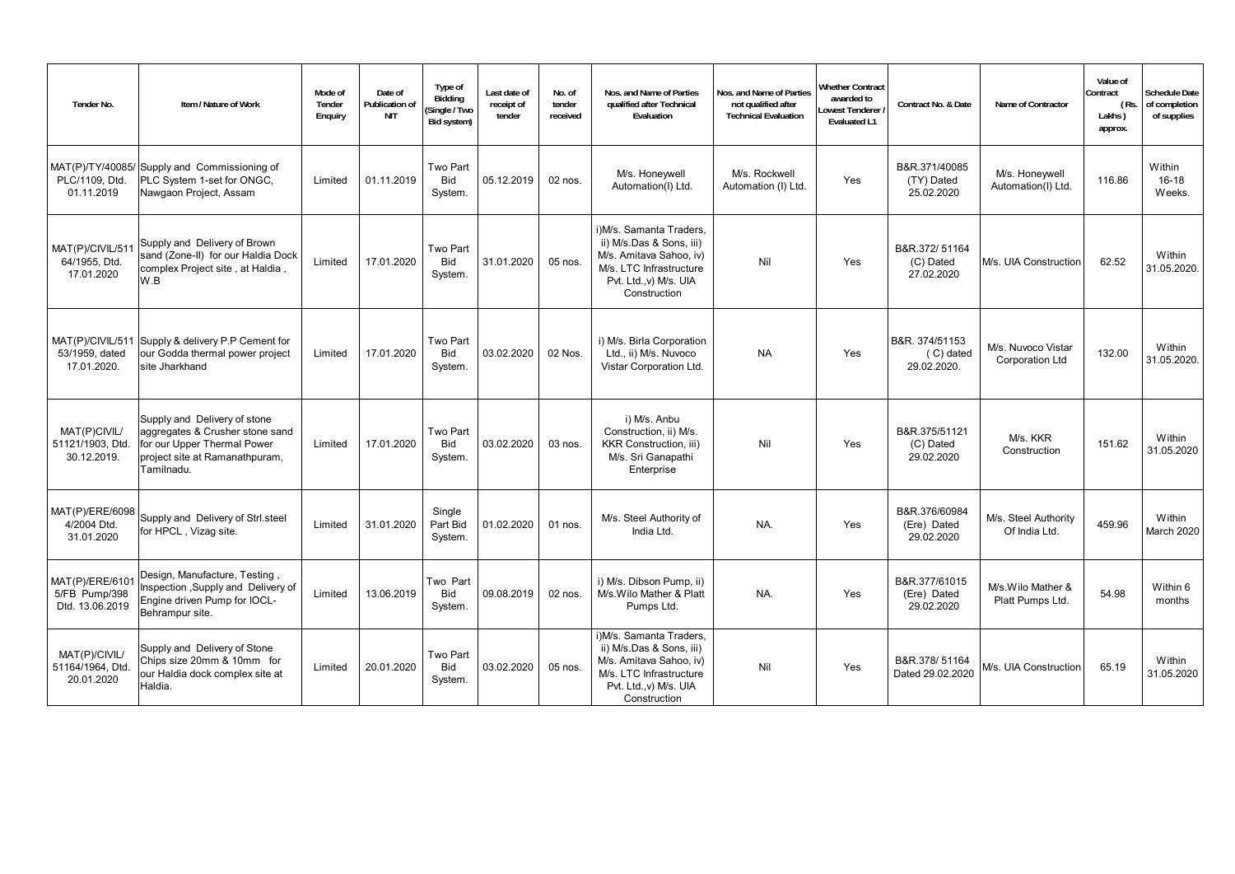| Tender No.                                         | Item / Nature of Work                                                                                                                          | Mode of<br>Tender<br>Enquiry | Date of<br>Publication of<br><b>NIT</b> | Type of<br>Biddina<br>Single / Two<br>Bid system) | Last date of<br>receipt of<br>tender | No. of<br>tender<br>received | Nos. and Name of Parties<br>qualified after Technical<br>Evaluation                                                                                 | Nos, and Name of Parties<br>not qualified after<br><b>Technical Evaluation</b> | Vhether Contract<br>awarded to<br>owest Tenderer<br><b>Evaluated L1</b> | Contract No. & Date                        | Name of Contractor                           | Value of<br>Contract<br>(Rs.<br>Lakhs)<br>approx. | <b>Schedule Date</b><br>of completion<br>of supplies |
|----------------------------------------------------|------------------------------------------------------------------------------------------------------------------------------------------------|------------------------------|-----------------------------------------|---------------------------------------------------|--------------------------------------|------------------------------|-----------------------------------------------------------------------------------------------------------------------------------------------------|--------------------------------------------------------------------------------|-------------------------------------------------------------------------|--------------------------------------------|----------------------------------------------|---------------------------------------------------|------------------------------------------------------|
| PLC/1109. Dtd.<br>01.11.2019                       | MAT(P)/TY/40085/ Supply and Commissioning of<br>PLC System 1-set for ONGC,<br>Nawgaon Project, Assam                                           | Limited                      | 01.11.2019                              | Two Part<br><b>Bid</b><br>System.                 | 05.12.2019                           | $02$ nos.                    | M/s. Honeywell<br>Automation(I) Ltd.                                                                                                                | M/s. Rockwell<br>Automation (I) Ltd.                                           | Yes                                                                     | B&R.371/40085<br>(TY) Dated<br>25.02.2020  | M/s. Honeywell<br>Automation(I) Ltd.         | 116.86                                            | Within<br>$16 - 18$<br>Weeks.                        |
| MAT(P)/CIVIL/51<br>64/1955, Dtd.<br>17.01.2020     | Supply and Delivery of Brown<br>sand (Zone-II) for our Haldia Dock<br>complex Project site, at Haldia,<br>W.B                                  | Limited                      | 17.01.2020                              | Two Part<br><b>Bid</b><br>System.                 | 31.01.2020                           | 05 nos.                      | i)M/s. Samanta Traders,<br>ii) M/s.Das & Sons, iii)<br>M/s. Amitava Sahoo, iv)<br>M/s. LTC Infrastructure<br>Pvt. Ltd., v) M/s. UIA<br>Construction | Nil                                                                            | Yes                                                                     | B&R.372/51164<br>(C) Dated<br>27.02.2020   | M/s. UIA Construction                        | 62.52                                             | Within<br>31.05.2020.                                |
| MAT(P)/CIVIL/511<br>53/1959, dated<br>17.01.2020.  | Supply & delivery P.P Cement for<br>our Godda thermal power project<br>site Jharkhand                                                          | Limited                      | 17.01.2020                              | Two Part<br><b>Bid</b><br>System.                 | 03.02.2020                           | 02 Nos.                      | i) M/s. Birla Corporation<br>Ltd., ii) M/s. Nuvoco<br>Vistar Corporation Ltd.                                                                       | <b>NA</b>                                                                      | Yes                                                                     | B&R. 374/51153<br>(C) dated<br>29.02.2020. | M/s. Nuvoco Vistar<br><b>Corporation Ltd</b> | 132.00                                            | Within<br>31.05.2020.                                |
| MAT(P)CIVIL/<br>51121/1903. Dtd.<br>30.12.2019.    | Supply and Delivery of stone<br>aggregates & Crusher stone sand<br>for our Upper Thermal Power<br>project site at Ramanathpuram,<br>Tamilnadu. | Limited                      | 17.01.2020                              | Two Part<br><b>Bid</b><br>System.                 | 03.02.2020                           | 03 nos.                      | i) M/s. Anbu<br>Construction, ii) M/s.<br><b>KKR Construction, iii)</b><br>M/s. Sri Ganapathi<br>Enterprise                                         | Nil                                                                            | Yes                                                                     | B&R.375/51121<br>(C) Dated<br>29.02.2020   | M/s. KKR<br>Construction                     | 151.62                                            | Within<br>31.05.2020                                 |
| MAT(P)/ERE/6098<br>4/2004 Dtd.<br>31.01.2020       | Supply and Delivery of Strl.steel<br>for HPCL, Vizag site.                                                                                     | Limited                      | 31.01.2020                              | Single<br>Part Bid<br>System.                     | 01.02.2020                           | $01$ nos.                    | M/s. Steel Authority of<br>India Ltd.                                                                                                               | NA.                                                                            | Yes                                                                     | B&R.376/60984<br>(Ere) Dated<br>29.02.2020 | M/s. Steel Authority<br>Of India Ltd.        | 459.96                                            | Within<br>March 2020                                 |
| MAT(P)/ERE/610<br>5/FB Pump/398<br>Dtd. 13.06.2019 | Design, Manufacture, Testing,<br>Inspection , Supply and Delivery of<br>Engine driven Pump for IOCL-<br>Behrampur site.                        | Limited                      | 13.06.2019                              | Two Part<br>Bid<br>System.                        | 09.08.2019                           | 02 nos.                      | i) M/s. Dibson Pump. ii)<br>M/s. Wilo Mather & Platt<br>Pumps Ltd.                                                                                  | NA.                                                                            | Yes                                                                     | B&R.377/61015<br>(Ere) Dated<br>29.02.2020 | M/s. Wilo Mather &<br>Platt Pumps Ltd.       | 54.98                                             | Within 6<br>months                                   |
| MAT(P)/CIVIL/<br>51164/1964, Dtd<br>20.01.2020     | Supply and Delivery of Stone<br>Chips size 20mm & 10mm for<br>our Haldia dock complex site at<br>Haldia.                                       | Limited                      | 20.01.2020                              | Two Part<br><b>Bid</b><br>System.                 | 03.02.2020                           | 05 nos.                      | i)M/s. Samanta Traders,<br>ii) M/s.Das & Sons, iii)<br>M/s. Amitava Sahoo, iv)<br>M/s. LTC Infrastructure<br>Pvt. Ltd., v) M/s. UIA<br>Construction | Nil                                                                            | Yes                                                                     | B&R.378/51164<br>Dated 29.02.2020          | M/s. UIA Construction                        | 65.19                                             | Within<br>31.05.2020                                 |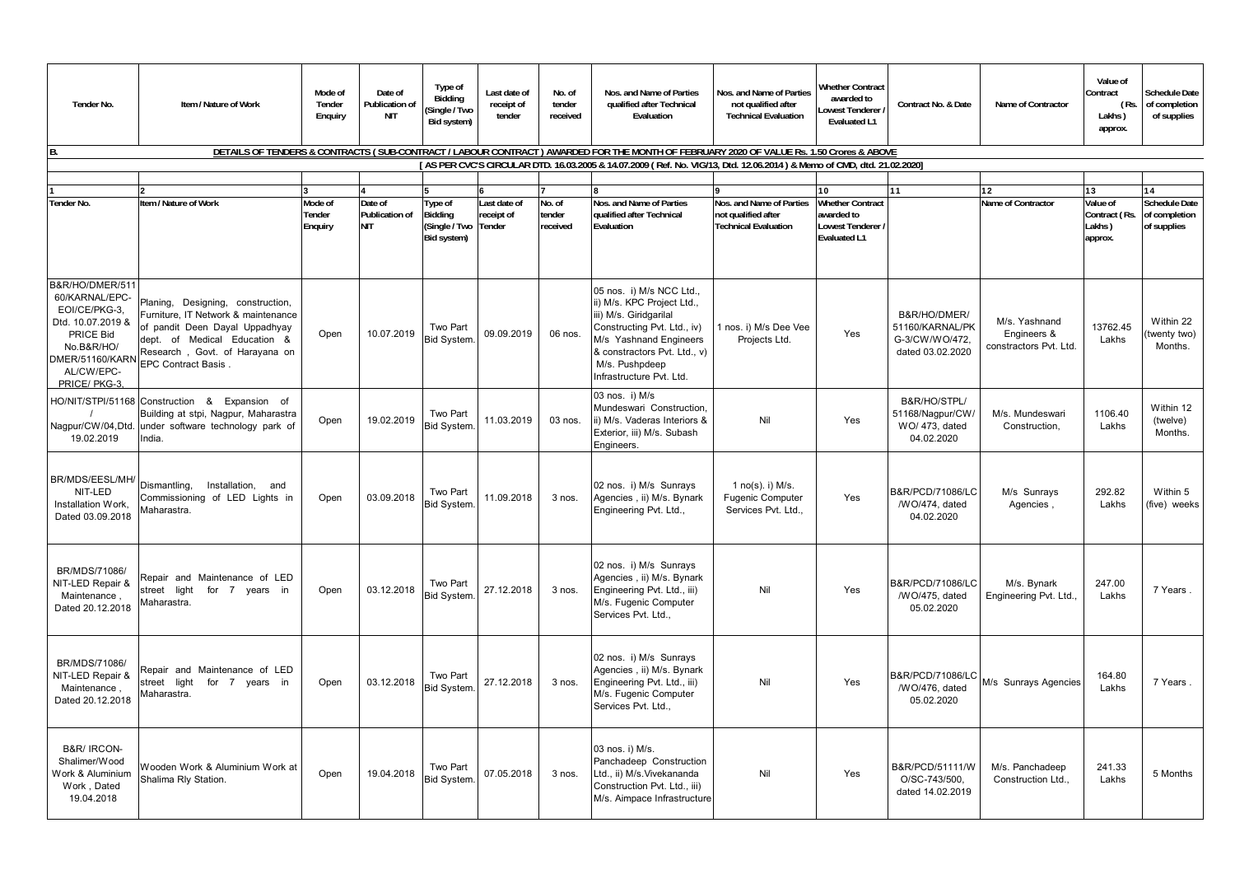| Tender No.                                                                                                                                          | Item / Nature of Work                                                                                                                                                                                     | Mode of<br>Tender<br>Enquiry | Date of<br>Publication of<br><b>NIT</b> | Type of<br>Bidding<br>Single / Two<br>Bid system)         | Last date of<br>receipt of<br>tender | No. of<br>tender<br>received | Nos. and Name of Parties<br>qualified after Technical<br>Evaluation                                                                                                                                                     | Nos. and Name of Parties<br>not qualified after<br><b>Technical Evaluation</b> | <b>Nhether Contract</b><br>awarded to<br>owest Tenderer<br><b>Evaluated L1</b>    | Contract No. & Date                                                   | Name of Contractor                                     | Value of<br>Contract<br>(Rs.<br>Lakhs)<br>approx. | <b>Schedule Date</b><br>of completion<br>of supplies |
|-----------------------------------------------------------------------------------------------------------------------------------------------------|-----------------------------------------------------------------------------------------------------------------------------------------------------------------------------------------------------------|------------------------------|-----------------------------------------|-----------------------------------------------------------|--------------------------------------|------------------------------|-------------------------------------------------------------------------------------------------------------------------------------------------------------------------------------------------------------------------|--------------------------------------------------------------------------------|-----------------------------------------------------------------------------------|-----------------------------------------------------------------------|--------------------------------------------------------|---------------------------------------------------|------------------------------------------------------|
|                                                                                                                                                     |                                                                                                                                                                                                           |                              |                                         |                                                           |                                      |                              | DETAILS OF TENDERS & CONTRACTS (SUB-CONTRACT / LABOUR CONTRACT) AWARDED FOR THE MONTH OF FEBRUARY 2020 OF VALUE Rs. 1.50 Crores & ABOVE                                                                                 |                                                                                |                                                                                   |                                                                       |                                                        |                                                   |                                                      |
|                                                                                                                                                     |                                                                                                                                                                                                           |                              |                                         |                                                           |                                      |                              | [AS PER CVC'S CIRCULAR DTD. 16.03.2005 & 14.07.2009 (Ref. No. VIG/13, Dtd. 12.06.2014) & Memo of CMD, dtd. 21.02.2020]                                                                                                  |                                                                                |                                                                                   |                                                                       |                                                        |                                                   |                                                      |
|                                                                                                                                                     |                                                                                                                                                                                                           |                              |                                         |                                                           |                                      |                              |                                                                                                                                                                                                                         |                                                                                | 10                                                                                | 11                                                                    | 12                                                     | 13                                                | 14                                                   |
| <b>Tender No.</b>                                                                                                                                   | Item / Nature of Work                                                                                                                                                                                     | Mode of<br>Tender<br>Enquiry | Date of<br>Publication of<br><b>NIT</b> | Type of<br>Bidding<br>(Single / Two Tender<br>Bid system) | Last date of<br>receipt of           | No. of<br>tender<br>received | Nos. and Name of Parties<br>qualified after Technical<br>Evaluation                                                                                                                                                     | Nos. and Name of Parties<br>not qualified after<br><b>Technical Evaluation</b> | <b>Whether Contract</b><br>awarded to<br>Lowest Tenderer /<br><b>Evaluated L1</b> |                                                                       | Name of Contractor                                     | Value of<br>Contract (Rs.<br>Lakhs)<br>approx.    | <b>Schedule Date</b><br>of completion<br>of supplies |
| B&R/HO/DMER/511<br>60/KARNAL/EPC-<br>EOI/CE/PKG-3.<br>Dtd. 10.07.2019 &<br>PRICE Bid<br>No.B&R/HO/<br>DMER/51160/KARN<br>AL/CW/EPC-<br>PRICE/PKG-3. | Planing, Designing, construction,<br>Furniture, IT Network & maintenance<br>of pandit Deen Dayal Uppadhyay<br>dept. of Medical Education &<br>Research, Govt. of Harayana on<br><b>EPC Contract Basis</b> | Open                         | 10.07.2019                              | <b>Two Part</b><br><b>Bid System</b>                      | 09.09.2019                           | 06 nos.                      | 05 nos. i) M/s NCC Ltd.,<br>ii) M/s. KPC Project Ltd.,<br>iii) M/s. Giridgarilal<br>Constructing Pvt. Ltd., iv)<br>M/s Yashnand Engineers<br>& constractors Pvt. Ltd., v)<br>M/s. Pushpdeep<br>Infrastructure Pvt. Ltd. | Inos. i) M/s Dee Vee<br>Projects Ltd.                                          | Yes                                                                               | B&R/HO/DMER/<br>51160/KARNAL/PK<br>G-3/CW/WO/472,<br>dated 03.02.2020 | M/s. Yashnand<br>Engineers &<br>constractors Pvt. Ltd. | 13762.45<br>Lakhs                                 | Within 22<br>(twenty two<br>Months.                  |
| Nagpur/CW/04,Dtd.<br>19.02.2019                                                                                                                     | HO/NIT/STPI/51168 Construction & Expansion of<br>Building at stpi, Nagpur, Maharastra<br>under software technology park of<br>India.                                                                      | Open                         | 19.02.2019                              | Two Part<br><b>Bid System</b>                             | 11.03.2019                           | 03 nos.                      | 03 nos. i) M/s<br>Mundeswari Construction<br>ii) M/s. Vaderas Interiors &<br>Exterior, iii) M/s. Subash<br>Engineers.                                                                                                   | Nil                                                                            | Yes                                                                               | B&R/HO/STPL/<br>51168/Nagpur/CW<br>WO/ 473, dated<br>04.02.2020       | M/s. Mundeswari<br>Construction,                       | 1106.40<br>Lakhs                                  | Within 12<br>(twelve)<br>Months.                     |
| BR/MDS/EESL/MH/<br>NIT-LED<br>Installation Work.<br>Dated 03.09.2018                                                                                | Dismantling,<br>Installation, and<br>Commissioning of LED Lights in<br>Maharastra.                                                                                                                        | Open                         | 03.09.2018                              | Two Part<br><b>Bid System</b>                             | 11.09.2018                           | 3 nos.                       | 02 nos. i) M/s Sunrays<br>Agencies, ii) M/s. Bynark<br>Engineering Pvt. Ltd.,                                                                                                                                           | 1 $no(s)$ . i) M/s.<br><b>Fugenic Computer</b><br>Services Pvt. Ltd.,          | Yes                                                                               | B&R/PCD/71086/LC<br>/WO/474, dated<br>04.02.2020                      | M/s Sunrays<br>Agencies                                | 292.82<br>Lakhs                                   | Within 5<br>(five) weeks                             |
| BR/MDS/71086/<br>NIT-LED Repair &<br>Maintenance<br>Dated 20.12.2018                                                                                | Repair and Maintenance of LED<br>street light<br>for 7 years in<br>Maharastra.                                                                                                                            | Open                         | 03.12.2018                              | Two Part<br><b>Bid System</b>                             | 27.12.2018                           | 3 nos.                       | 02 nos. i) M/s Sunrays<br>Agencies, ii) M/s. Bynark<br>Engineering Pvt. Ltd., iii)<br>M/s. Fugenic Computer<br>Services Pvt. Ltd.,                                                                                      | Nil                                                                            | Yes                                                                               | B&R/PCD/71086/LC<br>/WO/475, dated<br>05.02.2020                      | M/s. Bynark<br>Engineering Pvt. Ltd.,                  | 247.00<br>Lakhs                                   | 7 Years                                              |
| BR/MDS/71086/<br>NIT-LED Repair &<br>Maintenance<br>Dated 20.12.2018                                                                                | Repair and Maintenance of LED<br>for 7 years in<br>street<br>light<br>Maharastra.                                                                                                                         | Open                         | 03.12.2018                              | Two Part<br><b>Bid System</b>                             | 27.12.2018                           | 3 nos.                       | 02 nos. i) M/s Sunrays<br>Agencies, ii) M/s. Bynark<br>Engineering Pvt. Ltd., iii)<br>M/s. Fugenic Computer<br>Services Pvt. Ltd.                                                                                       | Nil                                                                            | Yes                                                                               | B&R/PCD/71086/LC<br>/WO/476, dated<br>05.02.2020                      | M/s Sunrays Agencies                                   | 164.80<br>Lakhs                                   | 7 Years                                              |
| B&R/ IRCON-<br>Shalimer/Wood<br>Work & Aluminium<br>Work, Dated<br>19.04.2018                                                                       | Wooden Work & Aluminium Work at<br>Shalima Rly Station.                                                                                                                                                   | Open                         | 19.04.2018                              | Two Part<br><b>Bid System</b>                             | 07.05.2018                           | $3$ nos.                     | 03 nos. i) M/s.<br>Panchadeep Construction<br>Ltd., ii) M/s.Vivekananda<br>Construction Pvt. Ltd., iii)<br>M/s. Aimpace Infrastructure                                                                                  | Nil                                                                            | Yes                                                                               | B&R/PCD/51111/W<br>O/SC-743/500,<br>dated 14.02.2019                  | M/s. Panchadeep<br>Construction Ltd.                   | 241.33<br>Lakhs                                   | 5 Months                                             |